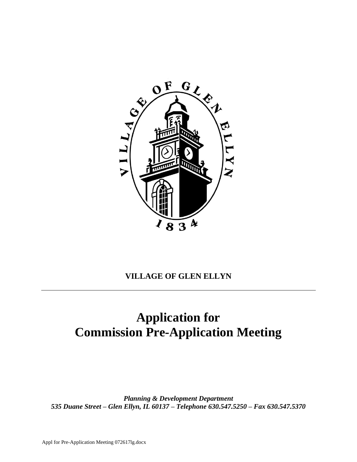

# **VILLAGE OF GLEN ELLYN**

# **Application for Commission Pre-Application Meeting**

*Planning & Development Department 535 Duane Street – Glen Ellyn, IL 60137 – Telephone 630.547.5250 – Fax 630.547.5370*